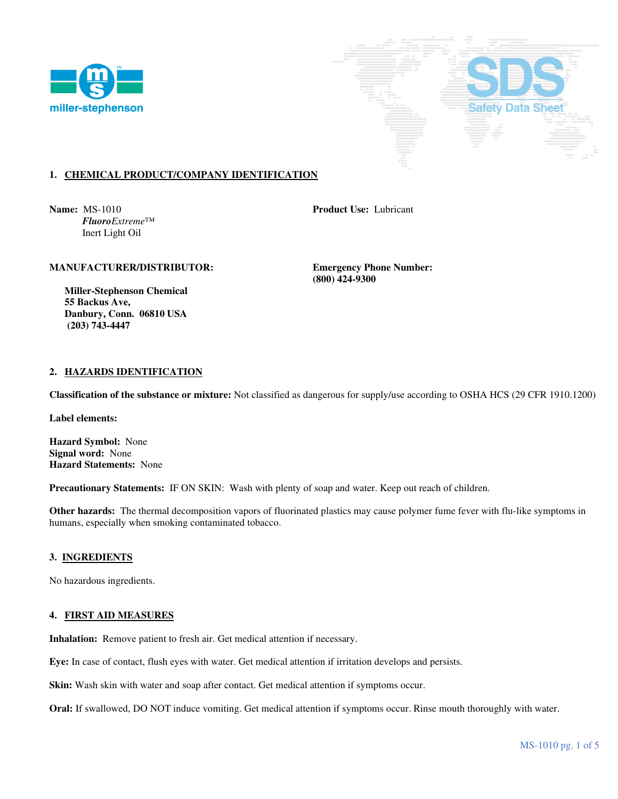



# **1. CHEMICAL PRODUCT/COMPANY IDENTIFICATION**

**Name:** MS-1010 **Product Use:** Lubricant  *FluoroExtreme*™ Inert Light Oil

### **MANUFACTURER/DISTRIBUTOR: Emergency Phone Number:**

 **(800) 424-9300** 

 **Miller-Stephenson Chemical 55 Backus Ave, Danbury, Conn. 06810 USA (203) 743-4447** 

# **2. HAZARDS IDENTIFICATION**

**Classification of the substance or mixture:** Not classified as dangerous for supply/use according to OSHA HCS (29 CFR 1910.1200)

**Label elements:** 

**Hazard Symbol:** None **Signal word:** None **Hazard Statements:** None

**Precautionary Statements:** IF ON SKIN: Wash with plenty of soap and water. Keep out reach of children.

**Other hazards:** The thermal decomposition vapors of fluorinated plastics may cause polymer fume fever with flu-like symptoms in humans, especially when smoking contaminated tobacco.

#### **3. INGREDIENTS**

No hazardous ingredients.

### **4. FIRST AID MEASURES**

**Inhalation:** Remove patient to fresh air. Get medical attention if necessary.

**Eye:** In case of contact, flush eyes with water. Get medical attention if irritation develops and persists.

**Skin:** Wash skin with water and soap after contact. Get medical attention if symptoms occur.

**Oral:** If swallowed, DO NOT induce vomiting. Get medical attention if symptoms occur. Rinse mouth thoroughly with water.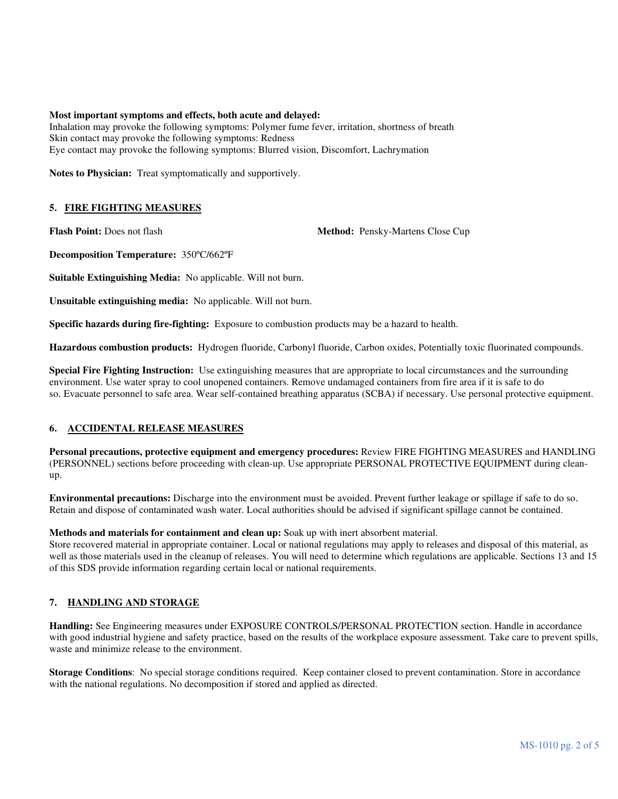#### **Most important symptoms and effects, both acute and delayed:**

Inhalation may provoke the following symptoms: Polymer fume fever, irritation, shortness of breath Skin contact may provoke the following symptoms: Redness Eye contact may provoke the following symptoms: Blurred vision, Discomfort, Lachrymation

**Notes to Physician:** Treat symptomatically and supportively.

### **5. FIRE FIGHTING MEASURES**

**Flash Point:** Does not flash **Method:** Pensky-Martens Close Cup

**Decomposition Temperature:** 350ºC/662ºF

**Suitable Extinguishing Media:** No applicable. Will not burn.

**Unsuitable extinguishing media:** No applicable. Will not burn.

**Specific hazards during fire-fighting:** Exposure to combustion products may be a hazard to health.

**Hazardous combustion products:** Hydrogen fluoride, Carbonyl fluoride, Carbon oxides, Potentially toxic fluorinated compounds.

**Special Fire Fighting Instruction:** Use extinguishing measures that are appropriate to local circumstances and the surrounding environment. Use water spray to cool unopened containers. Remove undamaged containers from fire area if it is safe to do so. Evacuate personnel to safe area. Wear self-contained breathing apparatus (SCBA) if necessary. Use personal protective equipment.

#### **6. ACCIDENTAL RELEASE MEASURES**

**Personal precautions, protective equipment and emergency procedures:** Review FIRE FIGHTING MEASURES and HANDLING (PERSONNEL) sections before proceeding with clean-up. Use appropriate PERSONAL PROTECTIVE EQUIPMENT during cleanup.

**Environmental precautions:** Discharge into the environment must be avoided. Prevent further leakage or spillage if safe to do so. Retain and dispose of contaminated wash water. Local authorities should be advised if significant spillage cannot be contained.

### **Methods and materials for containment and clean up:** Soak up with inert absorbent material.

Store recovered material in appropriate container. Local or national regulations may apply to releases and disposal of this material, as well as those materials used in the cleanup of releases. You will need to determine which regulations are applicable. Sections 13 and 15 of this SDS provide information regarding certain local or national requirements.

# **7. HANDLING AND STORAGE**

**Handling:** See Engineering measures under EXPOSURE CONTROLS/PERSONAL PROTECTION section. Handle in accordance with good industrial hygiene and safety practice, based on the results of the workplace exposure assessment. Take care to prevent spills, waste and minimize release to the environment.

**Storage Conditions**: No special storage conditions required. Keep container closed to prevent contamination. Store in accordance with the national regulations. No decomposition if stored and applied as directed.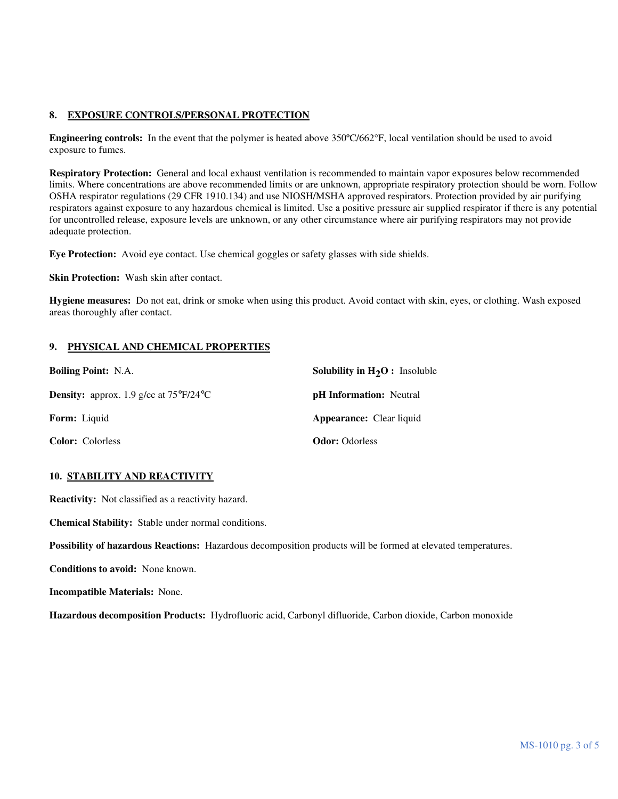# **8. EXPOSURE CONTROLS/PERSONAL PROTECTION**

**Engineering controls:** In the event that the polymer is heated above 350ºC/662°F, local ventilation should be used to avoid exposure to fumes.

**Respiratory Protection:** General and local exhaust ventilation is recommended to maintain vapor exposures below recommended limits. Where concentrations are above recommended limits or are unknown, appropriate respiratory protection should be worn. Follow OSHA respirator regulations (29 CFR 1910.134) and use NIOSH/MSHA approved respirators. Protection provided by air purifying respirators against exposure to any hazardous chemical is limited. Use a positive pressure air supplied respirator if there is any potential for uncontrolled release, exposure levels are unknown, or any other circumstance where air purifying respirators may not provide adequate protection.

**Eye Protection:** Avoid eye contact. Use chemical goggles or safety glasses with side shields.

**Skin Protection:** Wash skin after contact.

**Hygiene measures:** Do not eat, drink or smoke when using this product. Avoid contact with skin, eyes, or clothing. Wash exposed areas thoroughly after contact.

# **9. PHYSICAL AND CHEMICAL PROPERTIES**

| <b>Boiling Point: N.A.</b>                                    | <b>Solubility in <math>H_2O</math>:</b> Insoluble |
|---------------------------------------------------------------|---------------------------------------------------|
| <b>Density:</b> approx. 1.9 g/cc at $75^{\circ}F/24^{\circ}C$ | <b>pH</b> Information: Neutral                    |
| <b>Form:</b> Liquid                                           | <b>Appearance:</b> Clear liquid                   |
| <b>Color:</b> Colorless                                       | <b>Odor:</b> Odorless                             |

# **10. STABILITY AND REACTIVITY**

**Reactivity:** Not classified as a reactivity hazard.

**Chemical Stability:** Stable under normal conditions.

**Possibility of hazardous Reactions:** Hazardous decomposition products will be formed at elevated temperatures.

**Conditions to avoid:** None known.

**Incompatible Materials:** None.

**Hazardous decomposition Products:** Hydrofluoric acid, Carbonyl difluoride, Carbon dioxide, Carbon monoxide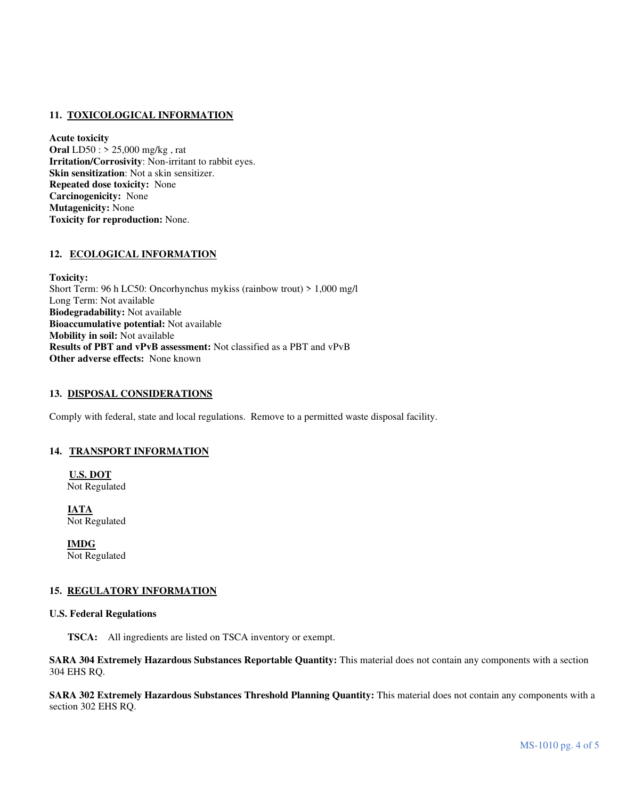# **11. TOXICOLOGICAL INFORMATION**

**Acute toxicity Oral** LD50 : > 25,000 mg/kg , rat **Irritation/Corrosivity**: Non-irritant to rabbit eyes. **Skin sensitization**: Not a skin sensitizer. **Repeated dose toxicity:** None **Carcinogenicity:** None **Mutagenicity:** None **Toxicity for reproduction:** None.

# **12. ECOLOGICAL INFORMATION**

**Toxicity:** Short Term: 96 h LC50: Oncorhynchus mykiss (rainbow trout) > 1,000 mg/l Long Term: Not available **Biodegradability:** Not available **Bioaccumulative potential:** Not available **Mobility in soil:** Not available **Results of PBT and vPvB assessment:** Not classified as a PBT and vPvB **Other adverse effects:** None known

### **13. DISPOSAL CONSIDERATIONS**

Comply with federal, state and local regulations. Remove to a permitted waste disposal facility.

#### **14. TRANSPORT INFORMATION**

**U.S. DOT** Not Regulated

**IATA** Not Regulated

 **IMDG** Not Regulated

# **15. REGULATORY INFORMATION**

#### **U.S. Federal Regulations**

 **TSCA:** All ingredients are listed on TSCA inventory or exempt.

**SARA 304 Extremely Hazardous Substances Reportable Quantity:** This material does not contain any components with a section 304 EHS RQ.

**SARA 302 Extremely Hazardous Substances Threshold Planning Quantity:** This material does not contain any components with a section 302 EHS RQ.